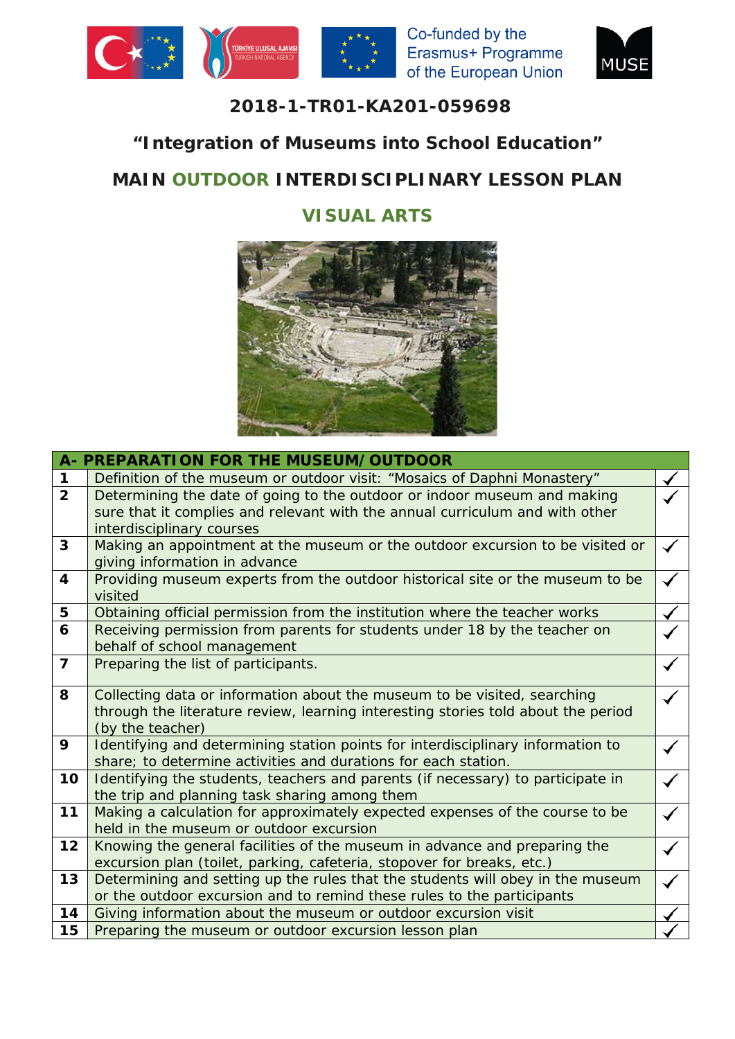





#### **2018-1-TR01-KA201-059698**

## **"Integration of Museums into School Education"**

# **MAIN OUTDOOR INTERDISCIPLINARY LESSON PLAN**

## **VISUAL ARTS**



|                | A- PREPARATION FOR THE MUSEUM/OUTDOOR                                                                                                                                             |  |
|----------------|-----------------------------------------------------------------------------------------------------------------------------------------------------------------------------------|--|
| $\mathbf{1}$   | Definition of the museum or outdoor visit: "Mosaics of Daphni Monastery"                                                                                                          |  |
| $\overline{2}$ | Determining the date of going to the outdoor or indoor museum and making<br>sure that it complies and relevant with the annual curriculum and with other                          |  |
| 3              | interdisciplinary courses<br>Making an appointment at the museum or the outdoor excursion to be visited or<br>giving information in advance                                       |  |
| 4              | Providing museum experts from the outdoor historical site or the museum to be<br>visited                                                                                          |  |
| 5              | Obtaining official permission from the institution where the teacher works                                                                                                        |  |
| 6              | Receiving permission from parents for students under 18 by the teacher on<br>behalf of school management                                                                          |  |
| $\overline{7}$ | Preparing the list of participants.                                                                                                                                               |  |
| 8              | Collecting data or information about the museum to be visited, searching<br>through the literature review, learning interesting stories told about the period<br>(by the teacher) |  |
| 9              | Identifying and determining station points for interdisciplinary information to<br>share; to determine activities and durations for each station.                                 |  |
| 10             | Identifying the students, teachers and parents (if necessary) to participate in<br>the trip and planning task sharing among them                                                  |  |
| 11             | Making a calculation for approximately expected expenses of the course to be<br>held in the museum or outdoor excursion                                                           |  |
| 12             | Knowing the general facilities of the museum in advance and preparing the<br>excursion plan (toilet, parking, cafeteria, stopover for breaks, etc.)                               |  |
| 13             | Determining and setting up the rules that the students will obey in the museum<br>or the outdoor excursion and to remind these rules to the participants                          |  |
| 14             | Giving information about the museum or outdoor excursion visit                                                                                                                    |  |
| 15             | Preparing the museum or outdoor excursion lesson plan                                                                                                                             |  |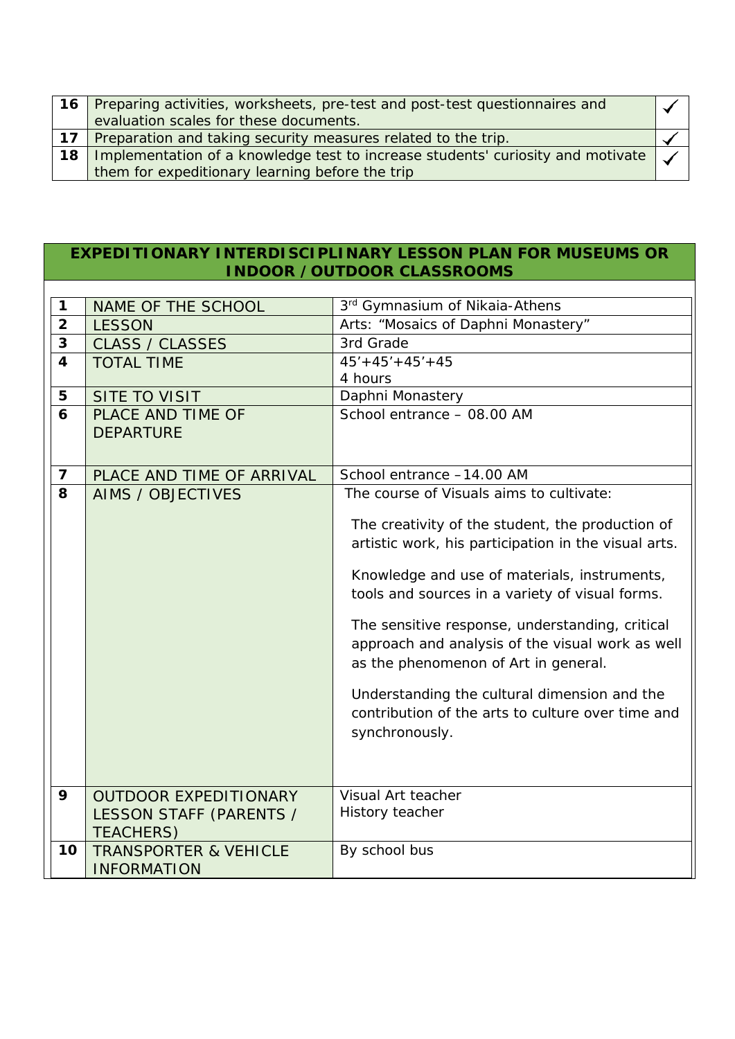|    | 16   Preparing activities, worksheets, pre-test and post-test questionnaires and              |  |
|----|-----------------------------------------------------------------------------------------------|--|
|    | evaluation scales for these documents.                                                        |  |
| 17 | Preparation and taking security measures related to the trip.                                 |  |
| 18 | Implementation of a knowledge test to increase students' curiosity and motivate $\mathcal{A}$ |  |
|    | them for expeditionary learning before the trip                                               |  |

#### **EXPEDITIONARY INTERDISCIPLINARY LESSON PLAN FOR MUSEUMS OR INDOOR /OUTDOOR CLASSROOMS**

| 1                       | <b>NAME OF THE SCHOOL</b>        | 3rd Gymnasium of Nikaia-Athens                       |
|-------------------------|----------------------------------|------------------------------------------------------|
| $\overline{2}$          | <b>LESSON</b>                    | Arts: "Mosaics of Daphni Monastery"                  |
| 3                       | <b>CLASS / CLASSES</b>           | 3rd Grade                                            |
| $\overline{\mathbf{4}}$ | <b>TOTAL TIME</b>                | $45' + 45' + 45' + 45$                               |
|                         |                                  | 4 hours                                              |
| 5                       | <b>SITE TO VISIT</b>             | Daphni Monastery                                     |
| 6                       | PLACE AND TIME OF                | School entrance - 08.00 AM                           |
|                         | <b>DEPARTURE</b>                 |                                                      |
|                         |                                  |                                                      |
| $\overline{7}$          | PLACE AND TIME OF ARRIVAL        | School entrance -14.00 AM                            |
| 8                       | <b>AIMS / OBJECTIVES</b>         | The course of Visuals aims to cultivate:             |
|                         |                                  | The creativity of the student, the production of     |
|                         |                                  | artistic work, his participation in the visual arts. |
|                         |                                  | Knowledge and use of materials, instruments,         |
|                         |                                  | tools and sources in a variety of visual forms.      |
|                         |                                  | The sensitive response, understanding, critical      |
|                         |                                  | approach and analysis of the visual work as well     |
|                         |                                  | as the phenomenon of Art in general.                 |
|                         |                                  | Understanding the cultural dimension and the         |
|                         |                                  | contribution of the arts to culture over time and    |
|                         |                                  | synchronously.                                       |
|                         |                                  |                                                      |
|                         |                                  |                                                      |
| 9                       | <b>OUTDOOR EXPEDITIONARY</b>     | Visual Art teacher                                   |
|                         | LESSON STAFF (PARENTS /          | History teacher                                      |
|                         | <b>TEACHERS)</b>                 |                                                      |
| 10                      | <b>TRANSPORTER &amp; VEHICLE</b> | By school bus                                        |
|                         | <b>INFORMATION</b>               |                                                      |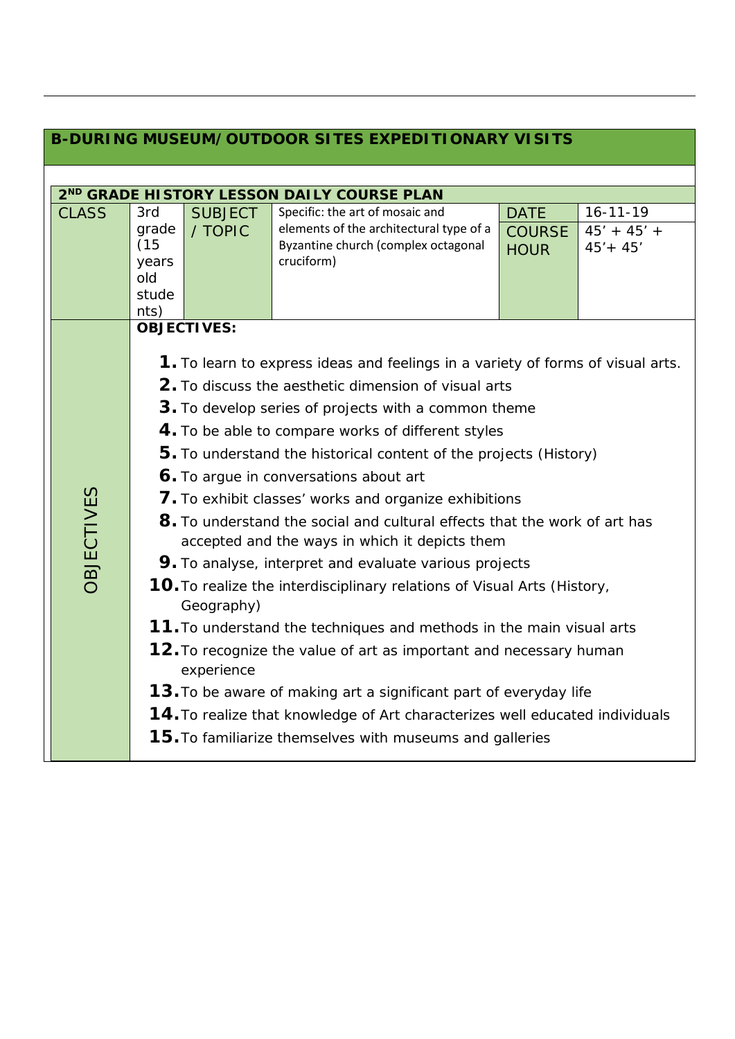| <b>B-DURING MUSEUM/OUTDOOR SITES EXPEDITIONARY VISITS</b> |                                                                                       |                |                                         |               |                |  |  |  |
|-----------------------------------------------------------|---------------------------------------------------------------------------------------|----------------|-----------------------------------------|---------------|----------------|--|--|--|
|                                                           |                                                                                       |                |                                         |               |                |  |  |  |
| 2 <sup>ND</sup> GRADE HISTORY LESSON DAILY COURSE PLAN    |                                                                                       |                |                                         |               |                |  |  |  |
| <b>CLASS</b>                                              | 3rd                                                                                   | <b>SUBJECT</b> | Specific: the art of mosaic and         | <b>DATE</b>   | $16 - 11 - 19$ |  |  |  |
|                                                           | grade                                                                                 | / TOPIC        | elements of the architectural type of a | <b>COURSE</b> | $45' + 45' +$  |  |  |  |
|                                                           | (15)                                                                                  |                | Byzantine church (complex octagonal     | <b>HOUR</b>   | $45' + 45'$    |  |  |  |
|                                                           | years                                                                                 |                | cruciform)                              |               |                |  |  |  |
|                                                           | old<br>stude                                                                          |                |                                         |               |                |  |  |  |
|                                                           | nts)                                                                                  |                |                                         |               |                |  |  |  |
|                                                           | <b>OBJECTIVES:</b>                                                                    |                |                                         |               |                |  |  |  |
|                                                           |                                                                                       |                |                                         |               |                |  |  |  |
|                                                           | 1. To learn to express ideas and feelings in a variety of forms of visual arts.       |                |                                         |               |                |  |  |  |
|                                                           | 2. To discuss the aesthetic dimension of visual arts                                  |                |                                         |               |                |  |  |  |
|                                                           | 3. To develop series of projects with a common theme                                  |                |                                         |               |                |  |  |  |
|                                                           | 4. To be able to compare works of different styles                                    |                |                                         |               |                |  |  |  |
|                                                           | 5. To understand the historical content of the projects (History)                     |                |                                         |               |                |  |  |  |
|                                                           | 6. To argue in conversations about art                                                |                |                                         |               |                |  |  |  |
|                                                           | 7. To exhibit classes' works and organize exhibitions                                 |                |                                         |               |                |  |  |  |
| <b>OBJECTIVES</b>                                         | 8. To understand the social and cultural effects that the work of art has             |                |                                         |               |                |  |  |  |
|                                                           | accepted and the ways in which it depicts them                                        |                |                                         |               |                |  |  |  |
|                                                           | 9. To analyse, interpret and evaluate various projects                                |                |                                         |               |                |  |  |  |
|                                                           | 10. To realize the interdisciplinary relations of Visual Arts (History,<br>Geography) |                |                                         |               |                |  |  |  |
|                                                           | 11. To understand the techniques and methods in the main visual arts                  |                |                                         |               |                |  |  |  |
|                                                           | 12. To recognize the value of art as important and necessary human<br>experience      |                |                                         |               |                |  |  |  |
|                                                           | 13. To be aware of making art a significant part of everyday life                     |                |                                         |               |                |  |  |  |
|                                                           | 14. To realize that knowledge of Art characterizes well educated individuals          |                |                                         |               |                |  |  |  |
|                                                           | <b>15.</b> To familiarize themselves with museums and galleries                       |                |                                         |               |                |  |  |  |
|                                                           |                                                                                       |                |                                         |               |                |  |  |  |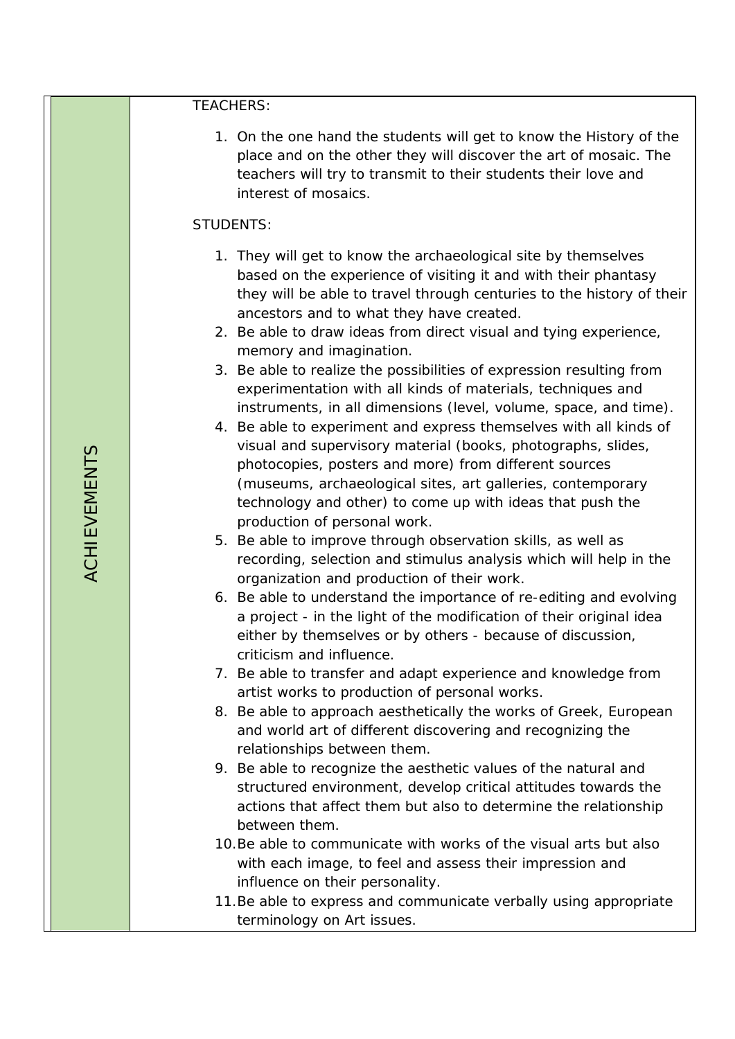TEACHERS:

1. On the one hand the students will get to know the History of the place and on the other they will discover the art of mosaic. The teachers will try to transmit to their students their love and interest of mosaics.

#### STUDENTS:

- 1. They will get to know the archaeological site by themselves based on the experience of visiting it and with their phantasy they will be able to travel through centuries to the history of their ancestors and to what they have created.
- 2. Be able to draw ideas from direct visual and tying experience, memory and imagination.
- 3. Be able to realize the possibilities of expression resulting from experimentation with all kinds of materials, techniques and instruments, in all dimensions (level, volume, space, and time).
- 4. Be able to experiment and express themselves with all kinds of visual and supervisory material (books, photographs, slides, photocopies, posters and more) from different sources (museums, archaeological sites, art galleries, contemporary technology and other) to come up with ideas that push the production of personal work.
- 5. Be able to improve through observation skills, as well as recording, selection and stimulus analysis which will help in the organization and production of their work.
- 6. Be able to understand the importance of re-editing and evolving a project - in the light of the modification of their original idea either by themselves or by others - because of discussion, criticism and influence.
- 7. Be able to transfer and adapt experience and knowledge from artist works to production of personal works.
- 8. Be able to approach aesthetically the works of Greek, European and world art of different discovering and recognizing the relationships between them.
- 9. Be able to recognize the aesthetic values of the natural and structured environment, develop critical attitudes towards the actions that affect them but also to determine the relationship between them.
- 10.Be able to communicate with works of the visual arts but also with each image, to feel and assess their impression and influence on their personality.
- 11.Be able to express and communicate verbally using appropriate terminology on Art issues.

ACHIEVEMENTS **ACHIEVEMENTS**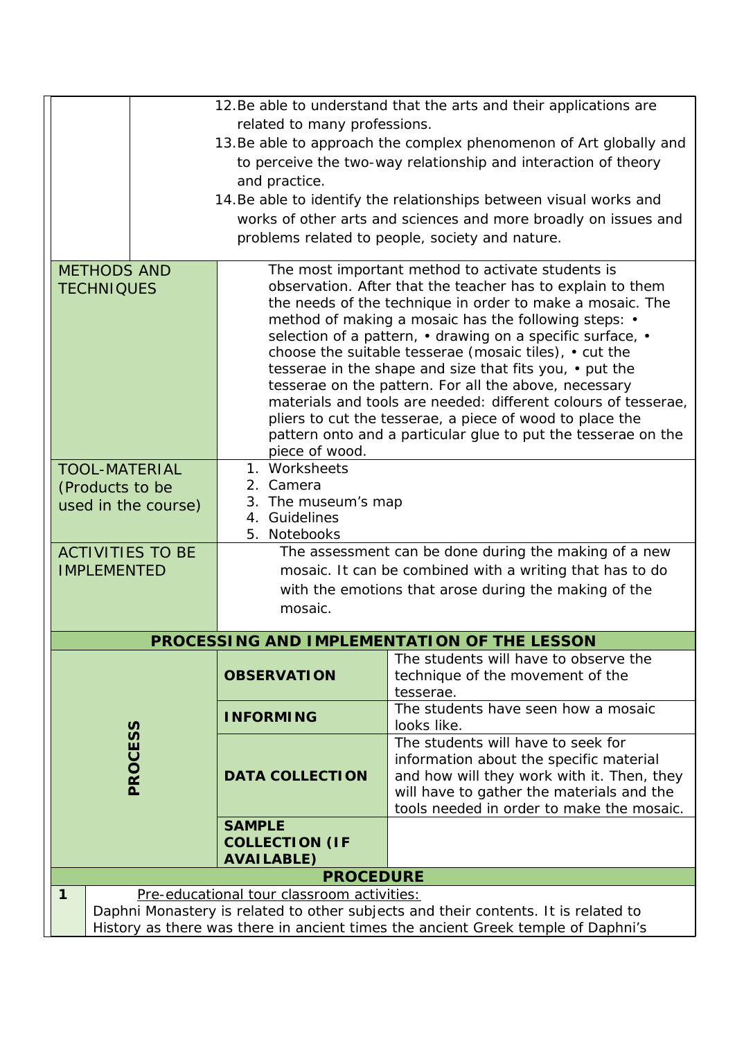| 12. Be able to understand that the arts and their applications are                                                                    |                                                                                                                  |                                                                                         |  |  |  |
|---------------------------------------------------------------------------------------------------------------------------------------|------------------------------------------------------------------------------------------------------------------|-----------------------------------------------------------------------------------------|--|--|--|
|                                                                                                                                       | related to many professions.                                                                                     |                                                                                         |  |  |  |
|                                                                                                                                       |                                                                                                                  | 13. Be able to approach the complex phenomenon of Art globally and                      |  |  |  |
|                                                                                                                                       | to perceive the two-way relationship and interaction of theory                                                   |                                                                                         |  |  |  |
|                                                                                                                                       | and practice.                                                                                                    |                                                                                         |  |  |  |
|                                                                                                                                       |                                                                                                                  | 14. Be able to identify the relationships between visual works and                      |  |  |  |
|                                                                                                                                       |                                                                                                                  | works of other arts and sciences and more broadly on issues and                         |  |  |  |
|                                                                                                                                       |                                                                                                                  | problems related to people, society and nature.                                         |  |  |  |
| <b>METHODS AND</b>                                                                                                                    |                                                                                                                  | The most important method to activate students is                                       |  |  |  |
| <b>TECHNIQUES</b>                                                                                                                     |                                                                                                                  | observation. After that the teacher has to explain to them                              |  |  |  |
|                                                                                                                                       |                                                                                                                  | the needs of the technique in order to make a mosaic. The                               |  |  |  |
|                                                                                                                                       |                                                                                                                  | method of making a mosaic has the following steps: •                                    |  |  |  |
|                                                                                                                                       |                                                                                                                  | selection of a pattern, • drawing on a specific surface, •                              |  |  |  |
|                                                                                                                                       | choose the suitable tesserae (mosaic tiles), • cut the                                                           |                                                                                         |  |  |  |
|                                                                                                                                       | tesserae in the shape and size that fits you, • put the<br>tesserae on the pattern. For all the above, necessary |                                                                                         |  |  |  |
|                                                                                                                                       | materials and tools are needed: different colours of tesserae,                                                   |                                                                                         |  |  |  |
|                                                                                                                                       | pliers to cut the tesserae, a piece of wood to place the                                                         |                                                                                         |  |  |  |
|                                                                                                                                       | pattern onto and a particular glue to put the tesserae on the                                                    |                                                                                         |  |  |  |
| <b>TOOL-MATERIAL</b>                                                                                                                  | piece of wood.<br>1. Worksheets                                                                                  |                                                                                         |  |  |  |
| (Products to be                                                                                                                       | 2. Camera                                                                                                        |                                                                                         |  |  |  |
| used in the course)                                                                                                                   | 3. The museum's map                                                                                              |                                                                                         |  |  |  |
|                                                                                                                                       | 4. Guidelines                                                                                                    |                                                                                         |  |  |  |
|                                                                                                                                       | 5. Notebooks                                                                                                     |                                                                                         |  |  |  |
| <b>ACTIVITIES TO BE</b>                                                                                                               | The assessment can be done during the making of a new                                                            |                                                                                         |  |  |  |
| <b>IMPLEMENTED</b>                                                                                                                    | mosaic. It can be combined with a writing that has to do                                                         |                                                                                         |  |  |  |
|                                                                                                                                       | with the emotions that arose during the making of the<br>mosaic.                                                 |                                                                                         |  |  |  |
|                                                                                                                                       |                                                                                                                  |                                                                                         |  |  |  |
|                                                                                                                                       |                                                                                                                  | PROCESSING AND IMPLEMENTATION OF THE LESSON                                             |  |  |  |
|                                                                                                                                       |                                                                                                                  | The students will have to observe the                                                   |  |  |  |
|                                                                                                                                       | <b>OBSERVATION</b>                                                                                               | technique of the movement of the                                                        |  |  |  |
|                                                                                                                                       |                                                                                                                  | tesserae.<br>The students have seen how a mosaic                                        |  |  |  |
|                                                                                                                                       | <b>INFORMING</b>                                                                                                 | looks like.                                                                             |  |  |  |
| PROCESS                                                                                                                               |                                                                                                                  | The students will have to seek for                                                      |  |  |  |
|                                                                                                                                       |                                                                                                                  | information about the specific material                                                 |  |  |  |
|                                                                                                                                       | <b>DATA COLLECTION</b>                                                                                           | and how will they work with it. Then, they<br>will have to gather the materials and the |  |  |  |
|                                                                                                                                       |                                                                                                                  | tools needed in order to make the mosaic.                                               |  |  |  |
|                                                                                                                                       | <b>SAMPLE</b>                                                                                                    |                                                                                         |  |  |  |
|                                                                                                                                       | <b>COLLECTION (IF</b>                                                                                            |                                                                                         |  |  |  |
|                                                                                                                                       | <b>AVAILABLE)</b>                                                                                                |                                                                                         |  |  |  |
|                                                                                                                                       | <b>PROCEDURE</b>                                                                                                 |                                                                                         |  |  |  |
| 1<br>Pre-educational tour classroom activities:<br>Daphni Monastery is related to other subjects and their contents. It is related to |                                                                                                                  |                                                                                         |  |  |  |
| History as there was there in ancient times the ancient Greek temple of Daphni's                                                      |                                                                                                                  |                                                                                         |  |  |  |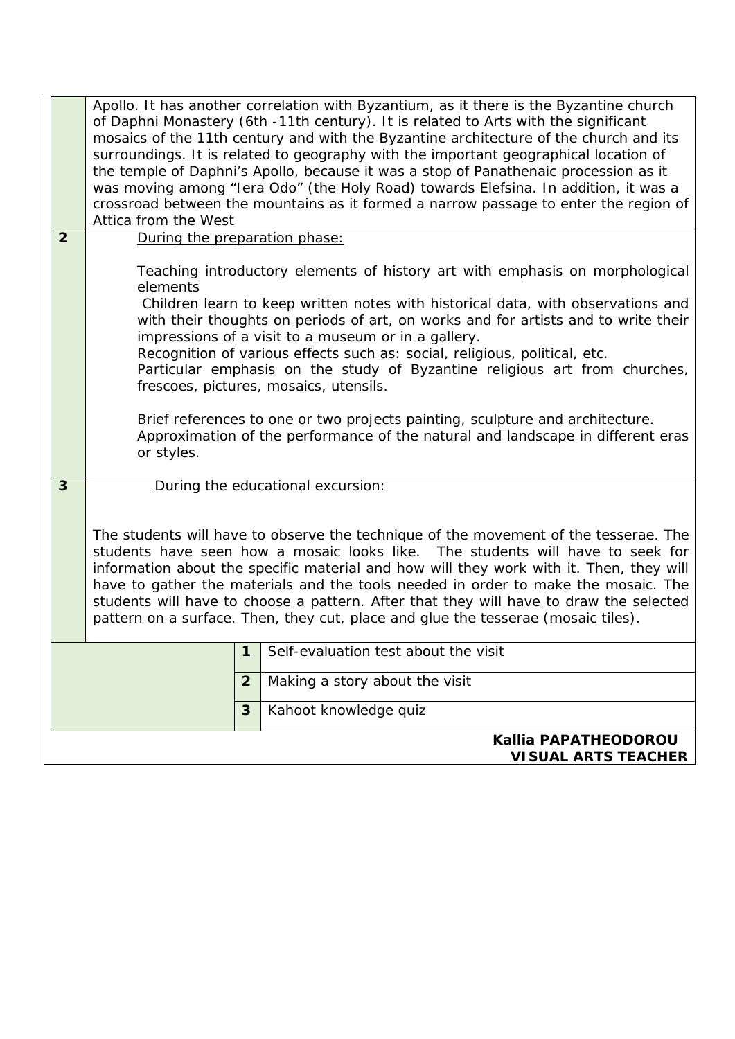|                |                                                    | Apollo. It has another correlation with Byzantium, as it there is the Byzantine church<br>of Daphni Monastery (6th -11th century). It is related to Arts with the significant<br>mosaics of the 11th century and with the Byzantine architecture of the church and its<br>surroundings. It is related to geography with the important geographical location of<br>the temple of Daphni's Apollo, because it was a stop of Panathenaic procession as it<br>was moving among "Iera Odo" (the Holy Road) towards Elefsina. In addition, it was a<br>crossroad between the mountains as it formed a narrow passage to enter the region of<br>Attica from the West                                                     |                |                                      |  |  |
|----------------|----------------------------------------------------|-------------------------------------------------------------------------------------------------------------------------------------------------------------------------------------------------------------------------------------------------------------------------------------------------------------------------------------------------------------------------------------------------------------------------------------------------------------------------------------------------------------------------------------------------------------------------------------------------------------------------------------------------------------------------------------------------------------------|----------------|--------------------------------------|--|--|
| $\overline{2}$ |                                                    | During the preparation phase:                                                                                                                                                                                                                                                                                                                                                                                                                                                                                                                                                                                                                                                                                     |                |                                      |  |  |
|                |                                                    | Teaching introductory elements of history art with emphasis on morphological<br>elements<br>Children learn to keep written notes with historical data, with observations and<br>with their thoughts on periods of art, on works and for artists and to write their<br>impressions of a visit to a museum or in a gallery.<br>Recognition of various effects such as: social, religious, political, etc.<br>Particular emphasis on the study of Byzantine religious art from churches,<br>frescoes, pictures, mosaics, utensils.<br>Brief references to one or two projects painting, sculpture and architecture.<br>Approximation of the performance of the natural and landscape in different eras<br>or styles. |                |                                      |  |  |
| 3              |                                                    | During the educational excursion:                                                                                                                                                                                                                                                                                                                                                                                                                                                                                                                                                                                                                                                                                 |                |                                      |  |  |
|                |                                                    | The students will have to observe the technique of the movement of the tesserae. The<br>students have seen how a mosaic looks like. The students will have to seek for<br>information about the specific material and how will they work with it. Then, they will<br>have to gather the materials and the tools needed in order to make the mosaic. The<br>students will have to choose a pattern. After that they will have to draw the selected<br>pattern on a surface. Then, they cut, place and glue the tesserae (mosaic tiles).                                                                                                                                                                            |                |                                      |  |  |
|                |                                                    |                                                                                                                                                                                                                                                                                                                                                                                                                                                                                                                                                                                                                                                                                                                   | 1              | Self-evaluation test about the visit |  |  |
|                |                                                    |                                                                                                                                                                                                                                                                                                                                                                                                                                                                                                                                                                                                                                                                                                                   | $\overline{2}$ | Making a story about the visit       |  |  |
|                |                                                    |                                                                                                                                                                                                                                                                                                                                                                                                                                                                                                                                                                                                                                                                                                                   | 3              | Kahoot knowledge quiz                |  |  |
|                | Kallia PAPATHEODOROU<br><b>VISUAL ARTS TEACHER</b> |                                                                                                                                                                                                                                                                                                                                                                                                                                                                                                                                                                                                                                                                                                                   |                |                                      |  |  |